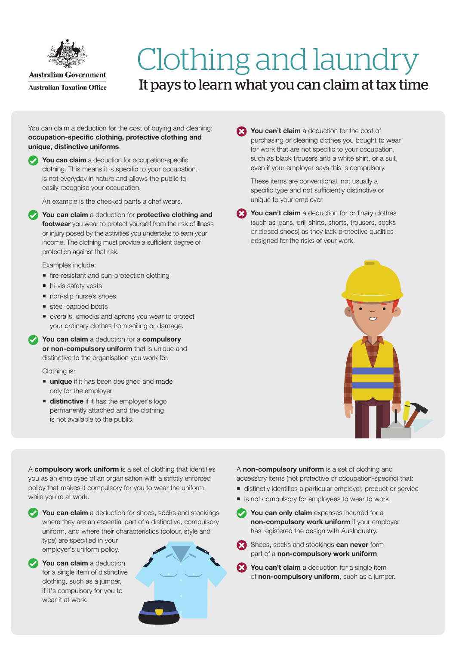

## Clothing and laundry It pays to learn what you can claim at tax time

You can claim a deduction for the cost of buying and cleaning: occupation-specific clothing, protective clothing and unique, distinctive uniforms.

 $\blacktriangleright$  You can claim a deduction for occupation-specific clothing. This means it is specific to your occupation, is not everyday in nature and allows the public to easily recognise your occupation.

An example is the checked pants a chef wears.

 $\blacktriangleright$  You can claim a deduction for protective clothing and footwear you wear to protect yourself from the risk of illness or injury posed by the activities you undertake to earn your income. The clothing must provide a sufficient degree of protection against that risk.

Examples include:

- fire-resistant and sun-protection clothing
- $\blacksquare$  hi-vis safety vests
- non-slip nurse's shoes
- steel-capped boots
- veralls, smocks and aprons you wear to protect your ordinary clothes from soiling or damage.
- $\blacktriangleright$  You can claim a deduction for a compulsory or non-compulsory uniform that is unique and distinctive to the organisation you work for.

## Clothing is:

- **unique** if it has been designed and made only for the employer
- **distinctive** if it has the employer's logo permanently attached and the clothing is not available to the public.

You can't claim a deduction for the cost of purchasing or cleaning clothes you bought to wear for work that are not specific to your occupation, such as black trousers and a white shirt, or a suit, even if your employer says this is compulsory.

These items are conventional, not usually a specific type and not sufficiently distinctive or unique to your employer.

You can't claim a deduction for ordinary clothes (such as jeans, drill shirts, shorts, trousers, socks or closed shoes) as they lack protective qualities designed for the risks of your work.



A compulsory work uniform is a set of clothing that identifies you as an employee of an organisation with a strictly enforced policy that makes it compulsory for you to wear the uniform while you're at work.

 $\blacktriangleright$  You can claim a deduction for shoes, socks and stockings where they are an essential part of a distinctive, compulsory uniform, and where their characteristics (colour, style and type) are specified in your employer's uniform policy.



 $\vee$  You can claim a deduction for a single item of distinctive clothing, such as a jumper, if it's compulsory for you to wear it at work.



A non-compulsory uniform is a set of clothing and accessory items (not protective or occupation-specific) that:

- distinctly identifies a particular employer, product or service
- is not compulsory for employees to wear to work.
- **XXXIII** You can only claim expenses incurred for a non-compulsory work uniform if your employer has registered the design with AusIndustry.
- Shoes, socks and stockings can never form part of a non-compulsory work uniform.
- You can't claim a deduction for a single item of non-compulsory uniform, such as a jumper.